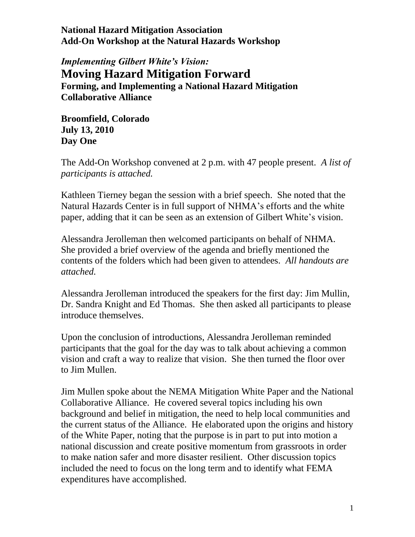*Implementing Gilbert White's Vision:* **Moving Hazard Mitigation Forward Forming, and Implementing a National Hazard Mitigation Collaborative Alliance**

**Broomfield, Colorado July 13, 2010 Day One**

The Add-On Workshop convened at 2 p.m. with 47 people present. *A list of participants is attached.*

Kathleen Tierney began the session with a brief speech. She noted that the Natural Hazards Center is in full support of NHMA's efforts and the white paper, adding that it can be seen as an extension of Gilbert White's vision.

Alessandra Jerolleman then welcomed participants on behalf of NHMA. She provided a brief overview of the agenda and briefly mentioned the contents of the folders which had been given to attendees. *All handouts are attached.*

Alessandra Jerolleman introduced the speakers for the first day: Jim Mullin, Dr. Sandra Knight and Ed Thomas. She then asked all participants to please introduce themselves.

Upon the conclusion of introductions, Alessandra Jerolleman reminded participants that the goal for the day was to talk about achieving a common vision and craft a way to realize that vision. She then turned the floor over to Jim Mullen.

Jim Mullen spoke about the NEMA Mitigation White Paper and the National Collaborative Alliance. He covered several topics including his own background and belief in mitigation, the need to help local communities and the current status of the Alliance. He elaborated upon the origins and history of the White Paper, noting that the purpose is in part to put into motion a national discussion and create positive momentum from grassroots in order to make nation safer and more disaster resilient. Other discussion topics included the need to focus on the long term and to identify what FEMA expenditures have accomplished.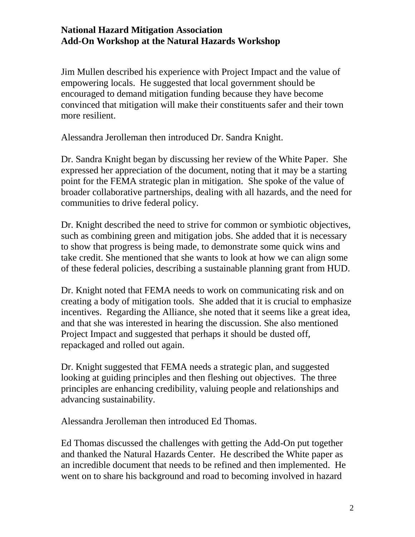Jim Mullen described his experience with Project Impact and the value of empowering locals. He suggested that local government should be encouraged to demand mitigation funding because they have become convinced that mitigation will make their constituents safer and their town more resilient.

Alessandra Jerolleman then introduced Dr. Sandra Knight.

Dr. Sandra Knight began by discussing her review of the White Paper. She expressed her appreciation of the document, noting that it may be a starting point for the FEMA strategic plan in mitigation. She spoke of the value of broader collaborative partnerships, dealing with all hazards, and the need for communities to drive federal policy.

Dr. Knight described the need to strive for common or symbiotic objectives, such as combining green and mitigation jobs. She added that it is necessary to show that progress is being made, to demonstrate some quick wins and take credit. She mentioned that she wants to look at how we can align some of these federal policies, describing a sustainable planning grant from HUD.

Dr. Knight noted that FEMA needs to work on communicating risk and on creating a body of mitigation tools. She added that it is crucial to emphasize incentives. Regarding the Alliance, she noted that it seems like a great idea, and that she was interested in hearing the discussion. She also mentioned Project Impact and suggested that perhaps it should be dusted off, repackaged and rolled out again.

Dr. Knight suggested that FEMA needs a strategic plan, and suggested looking at guiding principles and then fleshing out objectives. The three principles are enhancing credibility, valuing people and relationships and advancing sustainability.

Alessandra Jerolleman then introduced Ed Thomas.

Ed Thomas discussed the challenges with getting the Add-On put together and thanked the Natural Hazards Center. He described the White paper as an incredible document that needs to be refined and then implemented. He went on to share his background and road to becoming involved in hazard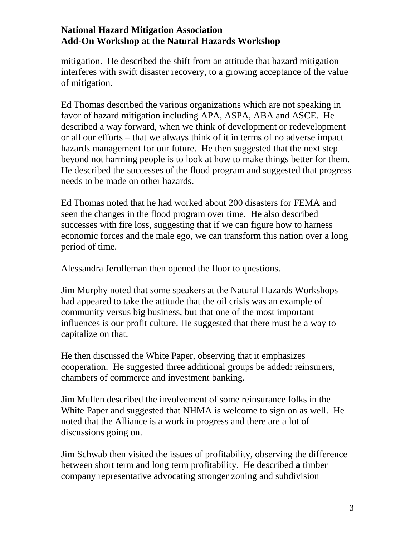mitigation. He described the shift from an attitude that hazard mitigation interferes with swift disaster recovery, to a growing acceptance of the value of mitigation.

Ed Thomas described the various organizations which are not speaking in favor of hazard mitigation including APA, ASPA, ABA and ASCE. He described a way forward, when we think of development or redevelopment or all our efforts – that we always think of it in terms of no adverse impact hazards management for our future. He then suggested that the next step beyond not harming people is to look at how to make things better for them. He described the successes of the flood program and suggested that progress needs to be made on other hazards.

Ed Thomas noted that he had worked about 200 disasters for FEMA and seen the changes in the flood program over time. He also described successes with fire loss, suggesting that if we can figure how to harness economic forces and the male ego, we can transform this nation over a long period of time.

Alessandra Jerolleman then opened the floor to questions.

Jim Murphy noted that some speakers at the Natural Hazards Workshops had appeared to take the attitude that the oil crisis was an example of community versus big business, but that one of the most important influences is our profit culture. He suggested that there must be a way to capitalize on that.

He then discussed the White Paper, observing that it emphasizes cooperation. He suggested three additional groups be added: reinsurers, chambers of commerce and investment banking.

Jim Mullen described the involvement of some reinsurance folks in the White Paper and suggested that NHMA is welcome to sign on as well. He noted that the Alliance is a work in progress and there are a lot of discussions going on.

Jim Schwab then visited the issues of profitability, observing the difference between short term and long term profitability. He described **a** timber company representative advocating stronger zoning and subdivision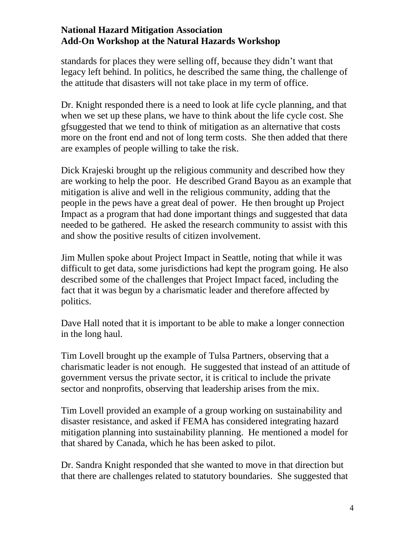standards for places they were selling off, because they didn't want that legacy left behind. In politics, he described the same thing, the challenge of the attitude that disasters will not take place in my term of office.

Dr. Knight responded there is a need to look at life cycle planning, and that when we set up these plans, we have to think about the life cycle cost. She gfsuggested that we tend to think of mitigation as an alternative that costs more on the front end and not of long term costs. She then added that there are examples of people willing to take the risk.

Dick Krajeski brought up the religious community and described how they are working to help the poor. He described Grand Bayou as an example that mitigation is alive and well in the religious community, adding that the people in the pews have a great deal of power. He then brought up Project Impact as a program that had done important things and suggested that data needed to be gathered. He asked the research community to assist with this and show the positive results of citizen involvement.

Jim Mullen spoke about Project Impact in Seattle, noting that while it was difficult to get data, some jurisdictions had kept the program going. He also described some of the challenges that Project Impact faced, including the fact that it was begun by a charismatic leader and therefore affected by politics.

Dave Hall noted that it is important to be able to make a longer connection in the long haul.

Tim Lovell brought up the example of Tulsa Partners, observing that a charismatic leader is not enough. He suggested that instead of an attitude of government versus the private sector, it is critical to include the private sector and nonprofits, observing that leadership arises from the mix.

Tim Lovell provided an example of a group working on sustainability and disaster resistance, and asked if FEMA has considered integrating hazard mitigation planning into sustainability planning. He mentioned a model for that shared by Canada, which he has been asked to pilot.

Dr. Sandra Knight responded that she wanted to move in that direction but that there are challenges related to statutory boundaries. She suggested that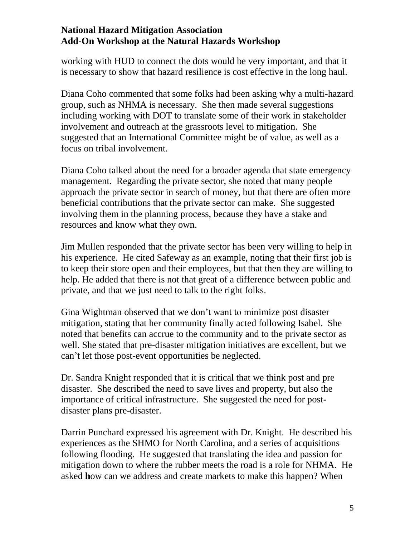working with HUD to connect the dots would be very important, and that it is necessary to show that hazard resilience is cost effective in the long haul.

Diana Coho commented that some folks had been asking why a multi-hazard group, such as NHMA is necessary. She then made several suggestions including working with DOT to translate some of their work in stakeholder involvement and outreach at the grassroots level to mitigation. She suggested that an International Committee might be of value, as well as a focus on tribal involvement.

Diana Coho talked about the need for a broader agenda that state emergency management. Regarding the private sector, she noted that many people approach the private sector in search of money, but that there are often more beneficial contributions that the private sector can make. She suggested involving them in the planning process, because they have a stake and resources and know what they own.

Jim Mullen responded that the private sector has been very willing to help in his experience. He cited Safeway as an example, noting that their first job is to keep their store open and their employees, but that then they are willing to help. He added that there is not that great of a difference between public and private, and that we just need to talk to the right folks.

Gina Wightman observed that we don't want to minimize post disaster mitigation, stating that her community finally acted following Isabel. She noted that benefits can accrue to the community and to the private sector as well. She stated that pre-disaster mitigation initiatives are excellent, but we can't let those post-event opportunities be neglected.

Dr. Sandra Knight responded that it is critical that we think post and pre disaster. She described the need to save lives and property, but also the importance of critical infrastructure. She suggested the need for postdisaster plans pre-disaster.

Darrin Punchard expressed his agreement with Dr. Knight. He described his experiences as the SHMO for North Carolina, and a series of acquisitions following flooding. He suggested that translating the idea and passion for mitigation down to where the rubber meets the road is a role for NHMA. He asked **h**ow can we address and create markets to make this happen? When